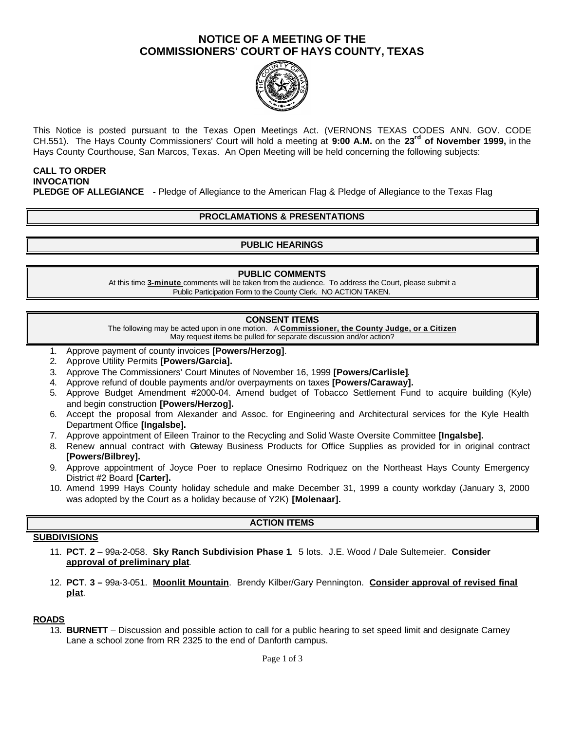# **NOTICE OF A MEETING OF THE COMMISSIONERS' COURT OF HAYS COUNTY, TEXAS**



This Notice is posted pursuant to the Texas Open Meetings Act. (VERNONS TEXAS CODES ANN. GOV. CODE CH.551). The Hays County Commissioners' Court will hold a meeting at **9:00 A.M.** on the **23rd of November 1999,** in the Hays County Courthouse, San Marcos, Texas. An Open Meeting will be held concerning the following subjects:

### **CALL TO ORDER INVOCATION PLEDGE OF ALLEGIANCE -** Pledge of Allegiance to the American Flag & Pledge of Allegiance to the Texas Flag

# **PROCLAMATIONS & PRESENTATIONS**

### **PUBLIC HEARINGS**

#### **PUBLIC COMMENTS**

At this time **3-minute** comments will be taken from the audience. To address the Court, please submit a Public Participation Form to the County Clerk. NO ACTION TAKEN.

#### **CONSENT ITEMS**

The following may be acted upon in one motion. A **Commissioner, the County Judge, or a Citizen** May request items be pulled for separate discussion and/or action?

- 1. Approve payment of county invoices **[Powers/Herzog]**.
- 2. Approve Utility Permits **[Powers/Garcia].**
- 3. Approve The Commissioners' Court Minutes of November 16, 1999 **[Powers/Carlisle]**.
- 4. Approve refund of double payments and/or overpayments on taxes **[Powers/Caraway].**
- 5. Approve Budget Amendment #2000-04. Amend budget of Tobacco Settlement Fund to acquire building (Kyle) and begin construction **[Powers/Herzog].**
- 6. Accept the proposal from Alexander and Assoc. for Engineering and Architectural services for the Kyle Health Department Office **[Ingalsbe].**
- 7. Approve appointment of Eileen Trainor to the Recycling and Solid Waste Oversite Committee **[Ingalsbe].**
- 8. Renew annual contract with Gateway Business Products for Office Supplies as provided for in original contract **[Powers/Bilbrey].**
- 9. Approve appointment of Joyce Poer to replace Onesimo Rodriquez on the Northeast Hays County Emergency District #2 Board **[Carter].**
- 10. Amend 1999 Hays County holiday schedule and make December 31, 1999 a county workday (January 3, 2000 was adopted by the Court as a holiday because of Y2K) **[Molenaar].**

### **ACTION ITEMS**

### **SUBDIVISIONS**

- 11. **PCT**. **2** 99a-2-058. **Sky Ranch Subdivision Phase 1**. 5 lots. J.E. Wood / Dale Sultemeier. **Consider approval of preliminary plat**.
- 12. **PCT**. **3 –** 99a-3-051. **Moonlit Mountain**. Brendy Kilber/Gary Pennington. **Consider approval of revised final plat**.

#### **ROADS**

13. **BURNETT** – Discussion and possible action to call for a public hearing to set speed limit and designate Carney Lane a school zone from RR 2325 to the end of Danforth campus.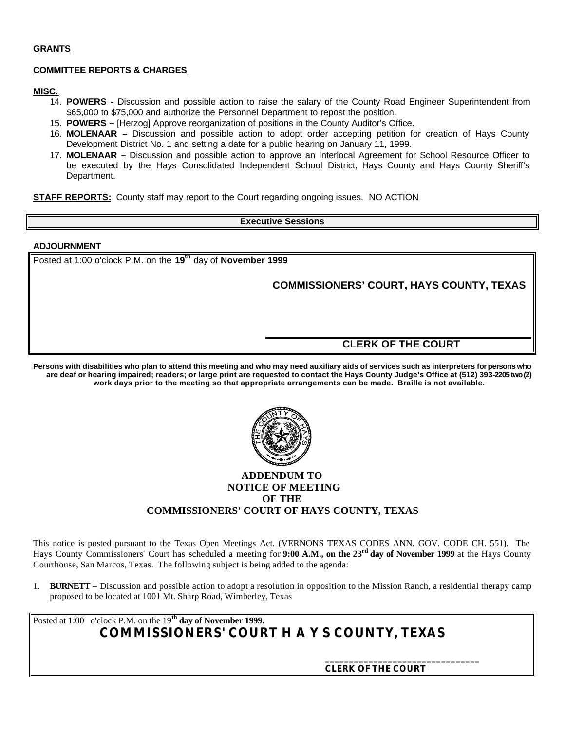#### **GRANTS**

#### **COMMITTEE REPORTS & CHARGES**

#### **MISC.**

- 14. **POWERS -** Discussion and possible action to raise the salary of the County Road Engineer Superintendent from \$65,000 to \$75,000 and authorize the Personnel Department to repost the position.
- 15. **POWERS –** [Herzog] Approve reorganization of positions in the County Auditor's Office.
- 16. **MOLENAAR –** Discussion and possible action to adopt order accepting petition for creation of Hays County Development District No. 1 and setting a date for a public hearing on January 11, 1999.
- 17. **MOLENAAR –** Discussion and possible action to approve an Interlocal Agreement for School Resource Officer to be executed by the Hays Consolidated Independent School District, Hays County and Hays County Sheriff's Department.

**STAFF REPORTS:** County staff may report to the Court regarding ongoing issues. NO ACTION

#### **Executive Sessions**

#### **ADJOURNMENT**

Posted at 1:00 o'clock P.M. on the **19th** day of **November 1999**

# **COMMISSIONERS' COURT, HAYS COUNTY, TEXAS**

### **CLERK OF THE COURT**

**Persons with disabilities who plan to attend this meeting and who may need auxiliary aids of services such as interpreters for persons who are deaf or hearing impaired; readers; or large print are requested to contact the Hays County Judge's Office at (512) 393-2205 two (2) work days prior to the meeting so that appropriate arrangements can be made. Braille is not available.**



### **ADDENDUM TO NOTICE OF MEETING OF THE COMMISSIONERS' COURT OF HAYS COUNTY, TEXAS**

This notice is posted pursuant to the Texas Open Meetings Act. (VERNONS TEXAS CODES ANN. GOV. CODE CH. 551). The Hays County Commissioners' Court has scheduled a meeting for **9:00 A.M., on the 23rd day of November 1999** at the Hays County Courthouse, San Marcos, Texas. The following subject is being added to the agenda:

1. **BURNETT** – Discussion and possible action to adopt a resolution in opposition to the Mission Ranch, a residential therapy camp proposed to be located at 1001 Mt. Sharp Road, Wimberley, Texas

Posted at 1:00 o'clock P.M. on the 19**th day of November 1999. COMMISSIONERS' COURT H A Y S COUNTY, TEXAS**

 **CLERK OF THE COURT**

**\_\_\_\_\_\_\_\_\_\_\_\_\_\_\_\_\_\_\_\_\_\_\_\_\_\_\_\_\_\_\_\_**